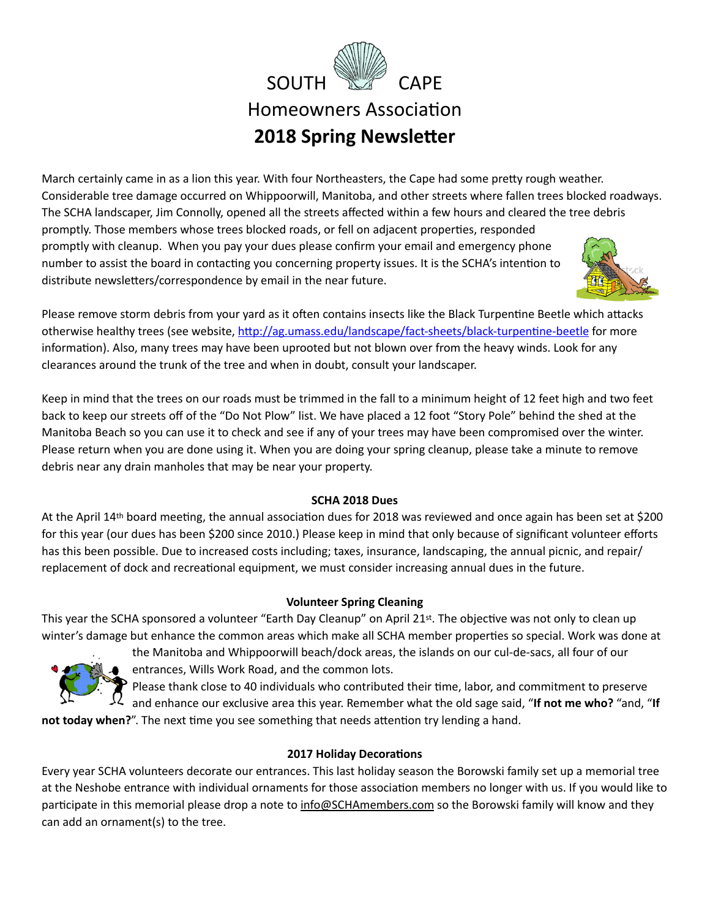

**2018 Spring Newsletter** 

March certainly came in as a lion this year. With four Northeasters, the Cape had some pretty rough weather. Considerable tree damage occurred on Whippoorwill, Manitoba, and other streets where fallen trees blocked roadways. The SCHA landscaper, Jim Connolly, opened all the streets affected within a few hours and cleared the tree debris promptly. Those members whose trees blocked roads, or fell on adjacent properties, responded promptly with cleanup. When you pay your dues please confirm your email and emergency phone number to assist the board in contacting you concerning property issues. It is the SCHA's intention to distribute newsletters/correspondence by email in the near future.



Please remove storm debris from your yard as it often contains insects like the Black Turpentine Beetle which attacks otherwise healthy trees (see website, http://ag.umass.edu/landscape/fact-sheets/black-turpentine-beetle for more information). Also, many trees may have been uprooted but not blown over from the heavy winds. Look for any clearances around the trunk of the tree and when in doubt, consult your landscaper.

Keep in mind that the trees on our roads must be trimmed in the fall to a minimum height of 12 feet high and two feet back to keep our streets off of the "Do Not Plow" list. We have placed a 12 foot "Story Pole" behind the shed at the Manitoba Beach so you can use it to check and see if any of your trees may have been compromised over the winter. Please return when you are done using it. When you are doing your spring cleanup, please take a minute to remove debris near any drain manholes that may be near your property.

## **SCHA 2018 Dues**

At the April 14th board meeting, the annual association dues for 2018 was reviewed and once again has been set at \$200 for this year (our dues has been \$200 since 2010.) Please keep in mind that only because of significant volunteer efforts has this been possible. Due to increased costs including; taxes, insurance, landscaping, the annual picnic, and repair/ replacement of dock and recreational equipment, we must consider increasing annual dues in the future.

# **Volunteer Spring Cleaning**

This year the SCHA sponsored a volunteer "Earth Day Cleanup" on April 21st. The objective was not only to clean up winter's damage but enhance the common areas which make all SCHA member properties so special. Work was done at



the Manitoba and Whippoorwill beach/dock areas, the islands on our cul-de-sacs, all four of our entrances, Wills Work Road, and the common lots.

Please thank close to 40 individuals who contributed their time, labor, and commitment to preserve and enhance our exclusive area this year. Remember what the old sage said, "**If not me who?** "and, "**If** 

not today when?". The next time you see something that needs attention try lending a hand.

# **2017 Holiday Decorations**

Every year SCHA volunteers decorate our entrances. This last holiday season the Borowski family set up a memorial tree at the Neshobe entrance with individual ornaments for those association members no longer with us. If you would like to participate in this memorial please drop a note to [info@SCHAmembers.com](mailto:info@SCHAmembers.com) so the Borowski family will know and they can add an ornament(s) to the tree.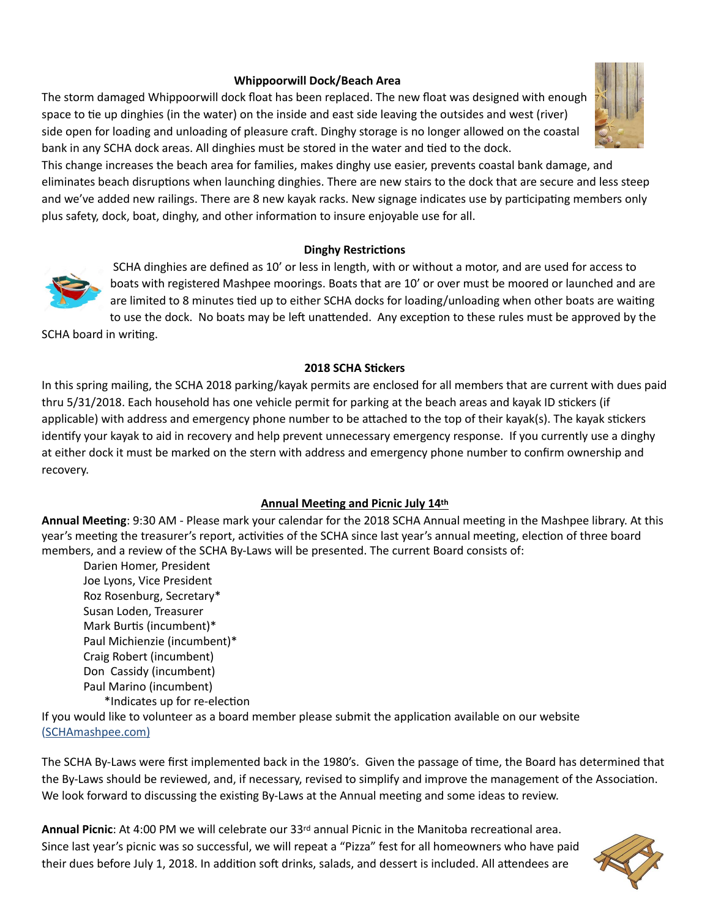## **Whippoorwill Dock/Beach Area**

The storm damaged Whippoorwill dock float has been replaced. The new float was designed with enough space to tie up dinghies (in the water) on the inside and east side leaving the outsides and west (river) side open for loading and unloading of pleasure craft. Dinghy storage is no longer allowed on the coastal bank in any SCHA dock areas. All dinghies must be stored in the water and tied to the dock.



## **Dinghy Restrictions**



 SCHA dinghies are defined as 10' or less in length, with or without a motor, and are used for access to boats with registered Mashpee moorings. Boats that are 10' or over must be moored or launched and are are limited to 8 minutes tied up to either SCHA docks for loading/unloading when other boats are waiting to use the dock. No boats may be left unattended. Any exception to these rules must be approved by the

SCHA board in writing.

#### **2018 SCHA Stickers**

In this spring mailing, the SCHA 2018 parking/kayak permits are enclosed for all members that are current with dues paid thru 5/31/2018. Each household has one vehicle permit for parking at the beach areas and kayak ID stickers (if applicable) with address and emergency phone number to be attached to the top of their kayak(s). The kayak stickers identify your kayak to aid in recovery and help prevent unnecessary emergency response. If you currently use a dinghy at either dock it must be marked on the stern with address and emergency phone number to confirm ownership and recovery.

## **Annual Meeting and Picnic July 14th**

Annual Meeting: 9:30 AM - Please mark your calendar for the 2018 SCHA Annual meeting in the Mashpee library. At this year's meeting the treasurer's report, activities of the SCHA since last year's annual meeting, election of three board members, and a review of the SCHA By-Laws will be presented. The current Board consists of:

Darien Homer, President Joe Lyons, Vice President Roz Rosenburg, Secretary\* Susan Loden, Treasurer Mark Burtis (incumbent)\* Paul Michienzie (incumbent)\* Craig Robert (incumbent) Don Cassidy (incumbent) Paul Marino (incumbent) \*Indicates up for re-election

If you would like to volunteer as a board member please submit the application available on our website (SCHAmashpee.com)

The SCHA By-Laws were first implemented back in the 1980's. Given the passage of time, the Board has determined that the By-Laws should be reviewed, and, if necessary, revised to simplify and improve the management of the Association. We look forward to discussing the existing By-Laws at the Annual meeting and some ideas to review.

Annual Picnic: At 4:00 PM we will celebrate our 33<sup>rd</sup> annual Picnic in the Manitoba recreational area. Since last year's picnic was so successful, we will repeat a "Pizza" fest for all homeowners who have paid their dues before July 1, 2018. In addition soft drinks, salads, and dessert is included. All attendees are